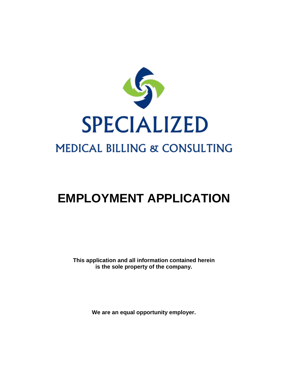

# **EMPLOYMENT APPLICATION**

**This application and all information contained herein is the sole property of the company.**

**We are an equal opportunity employer.**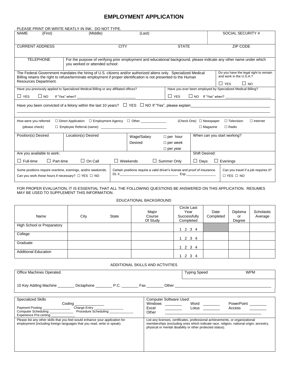## **EMPLOYMENT APPLICATION**

| PLEASE PRINT OR WRITE NEATLY IN INK. DO NOT TYPE.                                                                                                                                                                                                          |                             |             |                    |                 |                                                                            |                                                                                             |  |
|------------------------------------------------------------------------------------------------------------------------------------------------------------------------------------------------------------------------------------------------------------|-----------------------------|-------------|--------------------|-----------------|----------------------------------------------------------------------------|---------------------------------------------------------------------------------------------|--|
| <b>NAME</b><br>(First)<br>(Middle)                                                                                                                                                                                                                         |                             | (Last)      |                    |                 |                                                                            | SOCIAL SECURITY #                                                                           |  |
| <b>CURRENT ADDRESS</b>                                                                                                                                                                                                                                     | <b>CITY</b><br><b>STATE</b> |             |                    |                 |                                                                            | ZIP CODE                                                                                    |  |
| <b>TELEPHONE</b><br>For the purpose of verifying prior employment and educational background, please indicate any other name under which<br>you worked or attended school:                                                                                 |                             |             |                    |                 |                                                                            |                                                                                             |  |
| The Federal Government mandates the hiring of U.S. citizens and/or authorized aliens only. Specialized Medical<br>Billing retains the right to refuse/terminate employment if proper identification is not presented to the Human<br>Resources Department. |                             |             |                    |                 |                                                                            | Do you have the legal right to remain<br>and work in the U.S.A.?<br>$\Box$ YES<br>$\Box$ NO |  |
| Have you previously applied to Specialized Medical Billing or any affiliated offices?                                                                                                                                                                      |                             |             |                    |                 |                                                                            | Have you ever been employed by Specialized Medical Billing?                                 |  |
| $\Box$ YES                                                                                                                                                                                                                                                 |                             |             |                    | $\Box$ YES      |                                                                            |                                                                                             |  |
| Have you been convicted of a felony within the last 10 years? $\quad \Box \,$ YES $\, \Box$ NO If "Yes", please explain                                                                                                                                    |                             |             |                    |                 |                                                                            |                                                                                             |  |
| □ Direct Application □ Employment Agency □ Other ____________<br>How were you referred                                                                                                                                                                     |                             |             |                    |                 | (Check One) □ Newspaper                                                    | $\Box$ Internet<br>$\Box$ Television                                                        |  |
| (please check)                                                                                                                                                                                                                                             |                             |             |                    |                 | $\Box$ Magazine                                                            | $\Box$ Radio                                                                                |  |
| Location(s) Desired<br>Position(s) Desired                                                                                                                                                                                                                 |                             | Wage/Salary |                    | $\Box$ per hour |                                                                            | When can you start working?                                                                 |  |
|                                                                                                                                                                                                                                                            |                             | Desired     |                    | $\Box$ per week |                                                                            |                                                                                             |  |
|                                                                                                                                                                                                                                                            |                             |             |                    | $\Box$ per year |                                                                            |                                                                                             |  |
| Are you available to work:<br><b>Shift Desired:</b>                                                                                                                                                                                                        |                             |             |                    |                 |                                                                            |                                                                                             |  |
| $\Box$ Full-time<br>$\Box$ Part-time<br>$\Box$ On Call                                                                                                                                                                                                     | $\Box$ Weekends             |             | $\Box$ Summer Only |                 | $\Box$ Days                                                                | $\Box$ Evenings                                                                             |  |
| Some positions require overtime, evenings, and/or weekends.<br>Can you work those hours if necessary? $\Box$ YES $\Box$ NO                                                                                                                                 |                             |             |                    |                 | Certain positions require a valid driver's license and proof of insurance. | Can you travel if a job requires it?<br>$\Box$ YES $\Box$ NO                                |  |

#### FOR PROPER EVALUATION, IT IS ESSENTIAL THAT ALL THE FOLLOWING QUESTIONS BE ANSWERED ON THIS APPLICATION. RESUMES MAY BE USED TO SUPPLEMENT THIS INFORMATION.

#### EDUCATIONAL BACKGROUND

| Name                              | City | <b>State</b> | Major<br>Course<br>Of Study | Circle Last<br>Year<br>Successfully<br>Completed | Date<br>Completed | Diploma<br>or<br>Degree | Scholastic<br>Average |
|-----------------------------------|------|--------------|-----------------------------|--------------------------------------------------|-------------------|-------------------------|-----------------------|
| <b>High School or Preparatory</b> |      |              |                             | 1 2 3 4                                          |                   |                         |                       |
| College                           |      |              |                             | 1234                                             |                   |                         |                       |
| Graduate                          |      |              |                             | 1234                                             |                   |                         |                       |
| <b>Additional Education</b>       |      |              |                             | 1 2 3 4                                          |                   |                         |                       |

#### ADDITIONAL SKILLS AND ACTIVITIES

| Office Machines Operated. |            |      |     |       | Typing Speed | <b>WPM</b> |
|---------------------------|------------|------|-----|-------|--------------|------------|
| 10 Key Adding Machine     | Dictaphone | P.C. | Fax | Other |              |            |

| <b>Specialized Skills</b>                                                     | <b>Computer Software Used:</b>                                                                                                                     |  |  |  |  |
|-------------------------------------------------------------------------------|----------------------------------------------------------------------------------------------------------------------------------------------------|--|--|--|--|
| Codina                                                                        | Windows<br>Word<br>PowerPoint                                                                                                                      |  |  |  |  |
| Charge Entry<br><b>Payment Posting</b>                                        | Excel<br>Lotus<br>Access                                                                                                                           |  |  |  |  |
| Procedure Scheduling<br>Computer Scheduling Computer Scheduling               | Other                                                                                                                                              |  |  |  |  |
| <b>Experience Pre-certing</b>                                                 |                                                                                                                                                    |  |  |  |  |
| Please list any other skills that you feel would enhance your application for | List any licenses, certificates, professional achievements, or organizational                                                                      |  |  |  |  |
| employment (including foreign languages that you read, write or speak).       | memberships (excluding ones which indicate race, religion, national origin, ancestry,<br>physical or mental disability or other protected status). |  |  |  |  |
|                                                                               |                                                                                                                                                    |  |  |  |  |
|                                                                               |                                                                                                                                                    |  |  |  |  |
|                                                                               |                                                                                                                                                    |  |  |  |  |
|                                                                               |                                                                                                                                                    |  |  |  |  |
|                                                                               |                                                                                                                                                    |  |  |  |  |
|                                                                               |                                                                                                                                                    |  |  |  |  |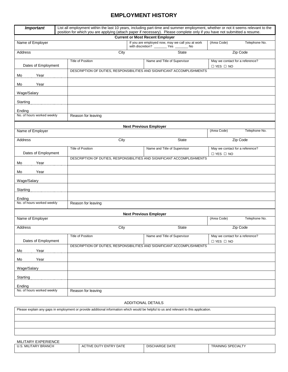# **EMPLOYMENT HISTORY**

| <b>Important</b>                     |                          |                                                                                                                                  | List all employment within the last 10 years, including part-time and summer employment, whether or not it seems relevant to the<br>position for which you are applying (attach paper if necessary). Please complete only if you have not submitted a resume. |                                                         |               |  |  |
|--------------------------------------|--------------------------|----------------------------------------------------------------------------------------------------------------------------------|---------------------------------------------------------------------------------------------------------------------------------------------------------------------------------------------------------------------------------------------------------------|---------------------------------------------------------|---------------|--|--|
|                                      |                          |                                                                                                                                  | <b>Current or Most Recent Employer</b>                                                                                                                                                                                                                        |                                                         |               |  |  |
| Name of Employer                     |                          | If you are employed now, may we call you at work<br>(Area Code)<br>Telephone No.<br>with discretion? __________ Yes _________ No |                                                                                                                                                                                                                                                               |                                                         |               |  |  |
| Address                              |                          | City                                                                                                                             | Zip Code<br><b>State</b>                                                                                                                                                                                                                                      |                                                         |               |  |  |
| Dates of Employment                  | <b>Title of Position</b> |                                                                                                                                  | Name and Title of Supervisor                                                                                                                                                                                                                                  | May we contact for a reference?<br>$\Box$ YES $\Box$ NO |               |  |  |
| Mo<br>Year                           |                          |                                                                                                                                  | DESCRIPTION OF DUTIES, RESPONSIBILITIES AND SIGNIFICANT ACCOMPLISHMENTS                                                                                                                                                                                       |                                                         |               |  |  |
| Year<br>Mo                           |                          |                                                                                                                                  |                                                                                                                                                                                                                                                               |                                                         |               |  |  |
| Wage/Salary                          |                          |                                                                                                                                  |                                                                                                                                                                                                                                                               |                                                         |               |  |  |
| Starting                             |                          |                                                                                                                                  |                                                                                                                                                                                                                                                               |                                                         |               |  |  |
| Ending<br>No. of hours worked weekly | Reason for leaving       |                                                                                                                                  |                                                                                                                                                                                                                                                               |                                                         |               |  |  |
|                                      |                          |                                                                                                                                  | <b>Next Previous Employer</b>                                                                                                                                                                                                                                 |                                                         |               |  |  |
| Name of Employer                     |                          |                                                                                                                                  |                                                                                                                                                                                                                                                               | (Area Code)                                             | Telephone No. |  |  |
| Address                              |                          | City                                                                                                                             | <b>State</b>                                                                                                                                                                                                                                                  |                                                         | Zip Code      |  |  |
| Dates of Employment                  | <b>Title of Position</b> |                                                                                                                                  | Name and Title of Supervisor                                                                                                                                                                                                                                  | May we contact for a reference?<br>$\Box$ YES $\Box$ NO |               |  |  |
| Year<br>Mo                           |                          |                                                                                                                                  | DESCRIPTION OF DUTIES, RESPONSIBILITIES AND SIGNIFICANT ACCOMPLISHMENTS                                                                                                                                                                                       |                                                         |               |  |  |
| Mo<br>Year                           |                          |                                                                                                                                  |                                                                                                                                                                                                                                                               |                                                         |               |  |  |
| Wage/Salary                          |                          |                                                                                                                                  |                                                                                                                                                                                                                                                               |                                                         |               |  |  |
| Starting                             |                          |                                                                                                                                  |                                                                                                                                                                                                                                                               |                                                         |               |  |  |
| Ending                               |                          |                                                                                                                                  |                                                                                                                                                                                                                                                               |                                                         |               |  |  |
| No. of hours worked weekly           | Reason for leaving       |                                                                                                                                  |                                                                                                                                                                                                                                                               |                                                         |               |  |  |
|                                      |                          |                                                                                                                                  | <b>Next Previous Employer</b>                                                                                                                                                                                                                                 |                                                         |               |  |  |
| Name of Employer                     |                          |                                                                                                                                  |                                                                                                                                                                                                                                                               | (Area Code)                                             | Telephone No. |  |  |
| <b>Address</b>                       |                          | City                                                                                                                             | <b>State</b>                                                                                                                                                                                                                                                  |                                                         | Zip Code      |  |  |
| Dates of Employment                  | Title of Position        |                                                                                                                                  | Name and Title of Supervisor                                                                                                                                                                                                                                  | May we contact for a reference?<br>$\Box$ YES $\Box$ NO |               |  |  |
| Mo<br>Year                           |                          |                                                                                                                                  | DESCRIPTION OF DUTIES, RESPONSIBILITIES AND SIGNIFICANT ACCOMPLISHMENTS                                                                                                                                                                                       |                                                         |               |  |  |
| Year<br>Mo                           |                          |                                                                                                                                  |                                                                                                                                                                                                                                                               |                                                         |               |  |  |
| Wage/Salary                          |                          |                                                                                                                                  |                                                                                                                                                                                                                                                               |                                                         |               |  |  |
| Starting                             |                          |                                                                                                                                  |                                                                                                                                                                                                                                                               |                                                         |               |  |  |
| Ending                               |                          |                                                                                                                                  |                                                                                                                                                                                                                                                               |                                                         |               |  |  |
| No. of hours worked weekly           | Reason for leaving       |                                                                                                                                  |                                                                                                                                                                                                                                                               |                                                         |               |  |  |

#### ADDITIONAL DETAILS

| Please explain any gaps in employment or provide additional information which would be helpful to us and relevant to this application. |  |  |
|----------------------------------------------------------------------------------------------------------------------------------------|--|--|
|                                                                                                                                        |  |  |
|                                                                                                                                        |  |  |
|                                                                                                                                        |  |  |

| MILITARY EXPERIENCE  |                        |                       |                           |
|----------------------|------------------------|-----------------------|---------------------------|
| U.S. MILITARY BRANCH | ACTIVE DUTY ENTRY DATE | <b>DISCHARGE DATE</b> | <b>TRAINING SPECIALTY</b> |